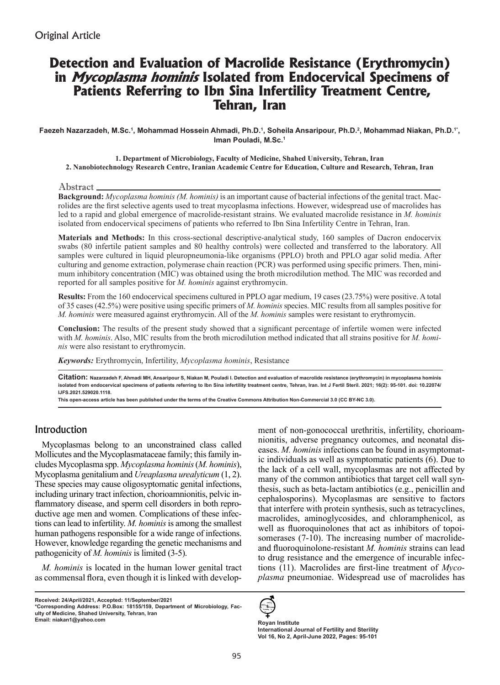# **Detection and Evaluation of Macrolide Resistance (Erythromycin) in Mycoplasma hominis Isolated from Endocervical Specimens of Patients Referring to Ibn Sina Infertility Treatment Centre, Tehran, Iran**

Faezeh Nazarzadeh, M.Sc.<sup>1</sup>, Mohammad Hossein Ahmadi, Ph.D.<sup>1</sup>, Soheila Ansaripour, Ph.D.<sup>2</sup>, Mohammad Niakan, Ph.D.<sup>1</sup>', **Iman Pouladi, M.Sc.1**

**1. Department of Microbiology, Faculty of Medicine, Shahed University, Tehran, Iran 2. Nanobiotechnology Research Centre, Iranian Academic Centre for Education, Culture and Research, Tehran, Iran**

Abstract

**Background:** *Mycoplasma hominis (M. hominis)* is an important cause of bacterial infections of the genital tract. Macrolides are the first selective agents used to treat mycoplasma infections. However, widespread use of macrolides has led to a rapid and global emergence of macrolide-resistant strains. We evaluated macrolide resistance in *M. hominis* isolated from endocervical specimens of patients who referred to Ibn Sina Infertility Centre in Tehran, Iran.

**Materials and Methods:** In this cross-sectional descriptive-analytical study, 160 samples of Dacron endocervix swabs (80 infertile patient samples and 80 healthy controls) were collected and transferred to the laboratory. All samples were cultured in liquid pleuropneumonia-like organisms (PPLO) broth and PPLO agar solid media. After culturing and genome extraction, polymerase chain reaction (PCR) was performed using specific primers. Then, minimum inhibitory concentration (MIC) was obtained using the broth microdilution method. The MIC was recorded and reported for all samples positive for *M. hominis* against erythromycin.

**Results:** From the 160 endocervical specimens cultured in PPLO agar medium, 19 cases (23.75%) were positive. A total of 35 cases (42.5%) were positive using specific primers of *M. hominis* species. MIC results from all samples positive for *M. hominis* were measured against erythromycin. All of the *M. hominis* samples were resistant to erythromycin.

**Conclusion:** The results of the present study showed that a significant percentage of infertile women were infected with *M. hominis*. Also, MIC results from the broth microdilution method indicated that all strains positive for *M. hominis* were also resistant to erythromycin.

*Keywords:* Erythromycin, Infertility, *Mycoplasma hominis*, Resistance

**Citation: Nazarzadeh F, Ahmadi MH, Ansaripour S, Niakan M, Pouladi I. Detection and evaluation of macrolide resistance (erythromycin) in mycoplasma hominis isolated from endocervical specimens of patients referring to Ibn Sina infertility treatment centre, Tehran, Iran. Int J Fertil Steril. 2021; 16(2): 95-101. doi: 10.22074/ IJFS.2021.529020.1118.**

**This open-access article has been published under the terms of the Creative Commons Attribution Non-Commercial 3.0 (CC BY-NC 3.0).**

# Introduction

Mycoplasmas belong to an unconstrained class called Mollicutes and the Mycoplasmataceae family; this family includes Mycoplasma spp. *Mycoplasma hominis* (*M. hominis*), Mycoplasma genitalium and *Ureaplasma urealyticum* (1, 2). These species may cause oligosyptomatic genital infections, including urinary tract infection, chorioamnionitis, pelvic inflammatory disease, and sperm cell disorders in both reproductive age men and women. Complications of these infections can lead to infertility. *M. hominis* is among the smallest human pathogens responsible for a wide range of infections. However, knowledge regarding the genetic mechanisms and pathogenicity of *M. hominis* is limited (3-5).

*M. hominis* is located in the human lower genital tract as commensal flora, even though it is linked with develop-

ment of non-gonococcal urethritis, infertility, chorioamnionitis, adverse pregnancy outcomes, and neonatal diseases. *M. hominis* infections can be found in asymptomatic individuals as well as symptomatic patients (6). Due to the lack of a cell wall, mycoplasmas are not affected by many of the common antibiotics that target cell wall synthesis, such as beta-lactam antibiotics (e.g., penicillin and cephalosporins). Mycoplasmas are sensitive to factors that interfere with protein synthesis, such as tetracyclines, macrolides, aminoglycosides, and chloramphenicol, as well as fluoroquinolones that act as inhibitors of topoisomerases (7-10). The increasing number of macrolideand fluoroquinolone-resistant *M. hominis* strains can lead to drug resistance and the emergence of incurable infections (11). Macrolides are first-line treatment of *Mycoplasma* pneumoniae. Widespread use of macrolides has



**International Journal of Fertility and Sterility Vol 16, No 2, April-June 2022, Pages: 95-101**

**Received: 24/April/2021, Accepted: 11/September/2021**

**<sup>\*</sup>Corresponding Address: P.O.Box: 18155/159, Department of Microbiology, Faculty of Medicine, Shahed University, Tehran, Iran** Email: niakan1@yahoo.com **Royan Institute Royan Institute**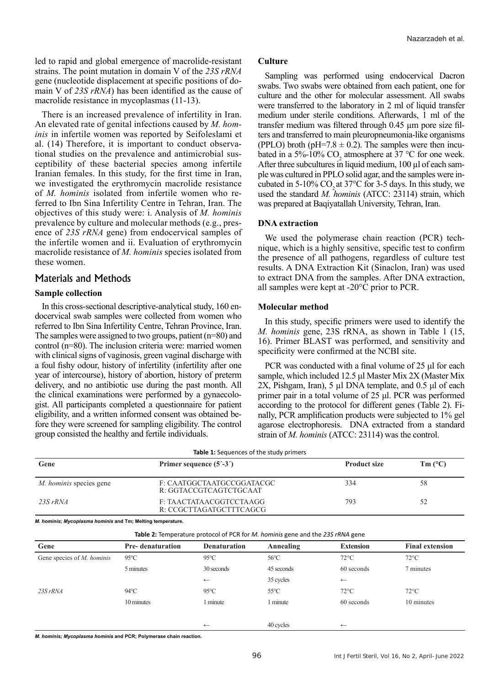led to rapid and global emergence of macrolide-resistant strains. The point mutation in domain V of the *23S rRNA*  gene (nucleotide displacement at specific positions of domain V of *23S rRNA*) has been identified as the cause of macrolide resistance in mycoplasmas (11-13).

There is an increased prevalence of infertility in Iran. An elevated rate of genital infections caused by *M. hominis* in infertile women was reported by Seifoleslami et al. (14) Therefore, it is important to conduct observational studies on the prevalence and antimicrobial susceptibility of these bacterial species among infertile Iranian females. In this study, for the first time in Iran, we investigated the erythromycin macrolide resistance of *M. hominis* isolated from infertile women who referred to Ibn Sina Infertility Centre in Tehran, Iran. The objectives of this study were: i. Analysis of *M. hominis* prevalence by culture and molecular methods (e.g., presence of *23S rRNA* gene) from endocervical samples of the infertile women and ii. Evaluation of erythromycin macrolide resistance of *M. hominis* species isolated from these women.

## Materials and Methods

#### **Sample collection**

In this cross-sectional descriptive-analytical study, 160 endocervical swab samples were collected from women who referred to Ibn Sina Infertility Centre, Tehran Province, Iran. The samples were assigned to two groups, patient (n=80) and control (n=80). The inclusion criteria were: married women with clinical signs of vaginosis, green vaginal discharge with a foul fishy odour, history of infertility (infertility after one year of intercourse), history of abortion, history of preterm delivery, and no antibiotic use during the past month. All the clinical examinations were performed by a gynaecologist. All participants completed a questionnaire for patient eligibility, and a written informed consent was obtained before they were screened for sampling eligibility. The control group consisted the healthy and fertile individuals.

#### **Culture**

Sampling was performed using endocervical Dacron swabs. Two swabs were obtained from each patient, one for culture and the other for molecular assessment. All swabs were transferred to the laboratory in 2 ml of liquid transfer medium under sterile conditions. Afterwards, 1 ml of the transfer medium was filtered through 0.45 µm pore size filters and transferred to main pleuropneumonia-like organisms (PPLO) broth (pH=7.8  $\pm$  0.2). The samples were then incubated in a 5%-10%  $CO<sub>2</sub>$  atmosphere at 37 °C for one week. After three subcultures in liquid medium, 100 µl of each sample was cultured in PPLO solid agar, and the samples were incubated in  $5-10\%$  CO<sub>2</sub> at  $37^{\circ}$ C for  $3-5$  days. In this study, we used the standard *M. hominis* (ATCC: 23114) strain, which was prepared at Baqiyatallah University, Tehran, Iran.

#### **DNA extraction**

We used the polymerase chain reaction (PCR) technique, which is a highly sensitive, specific test to confirm the presence of all pathogens, regardless of culture test results. A DNA Extraction Kit (Sinaclon, Iran) was used to extract DNA from the samples. After DNA extraction, all samples were kept at -20°C prior to PCR.

#### **Molecular method**

In this study, specific primers were used to identify the *M. hominis* gene, 23S rRNA, as shown in Table 1 (15, 16). Primer BLAST was performed, and sensitivity and specificity were confirmed at the NCBI site.

PCR was conducted with a final volume of 25 μl for each sample, which included 12.5 μl Master Mix 2X (Master Mix 2X, Pishgam, Iran), 5 µl DNA template, and 0.5 μl of each primer pair in a total volume of 25 μl. PCR was performed according to the protocol for different genes (Table 2). Finally, PCR amplification products were subjected to 1% gel agarose electrophoresis. DNA extracted from a standard strain of *M. hominis* (ATCC: 23114) was the control.

|                                                             |                                                     | <b>Table 1:</b> Sequences of the study primers                                               |                |                  |                        |
|-------------------------------------------------------------|-----------------------------------------------------|----------------------------------------------------------------------------------------------|----------------|------------------|------------------------|
| Gene                                                        |                                                     | Primer sequence $(5^{\prime} - 3^{\prime})$                                                  |                |                  | $Tm (^{\circ}C)$       |
| <i>M. hominis</i> species gene                              | F: CAATGGCTAATGCCGGATACGC<br>R: GGTACCGTCAGTCTGCAAT |                                                                                              |                | 334              | 58                     |
| $23S$ rRNA                                                  | F: TAACTATAACGGTCCTAAGG<br>R: CCGCTTAGATGCTTTCAGCG  |                                                                                              |                | 793              | 52                     |
| M. hominis; Mycoplasma hominis and Tm; Melting temperature. |                                                     |                                                                                              |                |                  |                        |
|                                                             |                                                     | <b>Table 2:</b> Temperature protocol of PCR for <i>M. hominis</i> gene and the 23S rRNA gene |                |                  |                        |
| Gene                                                        | <b>Pre-</b> denaturation                            | <b>Denaturation</b>                                                                          | Annealing      | <b>Extension</b> | <b>Final extension</b> |
| Gene species of <i>M. hominis</i>                           | $95^{\circ}$ C                                      | $95^{\circ}$ C                                                                               | $56^{\circ}$ C | $72^{\circ}$ C   | $72^{\circ}$ C         |
|                                                             | 5 minutes                                           | 30 seconds                                                                                   | 45 seconds     | 60 seconds       | 7 minutes              |

*23S rRNA* 94°C 95°C 55°C 72°C 72°C

*M. hominis; Mycoplasma hominis* **and PCR; Polymerase chain reaction.**

35 cycles

10 minutes 1 minute 1 minute 1 minute 60 seconds 10 minutes

40 cycles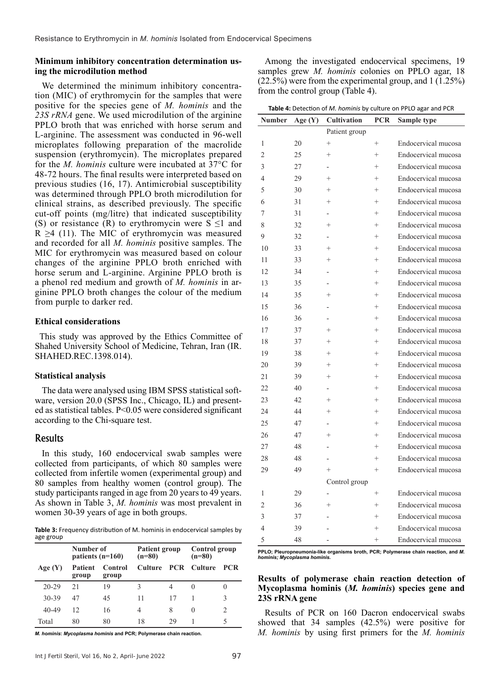#### **Minimum inhibitory concentration determination using the microdilution method**

We determined the minimum inhibitory concentration (MIC) of erythromycin for the samples that were positive for the species gene of *M. hominis* and the *23S rRNA* gene. We used microdilution of the arginine PPLO broth that was enriched with horse serum and L-arginine. The assessment was conducted in 96-well microplates following preparation of the macrolide suspension (erythromycin). The microplates prepared for the *M. hominis* culture were incubated at 37°C for 48-72 hours. The final results were interpreted based on previous studies (16, 17). Antimicrobial susceptibility was determined through PPLO broth microdilution for clinical strains, as described previously. The specific cut-off points (mg/litre) that indicated susceptibility (S) or resistance (R) to erythromycin were  $S \le 1$  and  $R \geq 4$  (11). The MIC of erythromycin was measured and recorded for all *M. hominis* positive samples. The MIC for erythromycin was measured based on colour changes of the arginine PPLO broth enriched with horse serum and L-arginine. Arginine PPLO broth is a phenol red medium and growth of *M. hominis* in arginine PPLO broth changes the colour of the medium from purple to darker red.

#### **Ethical considerations**

This study was approved by the Ethics Committee of Shahed University School of Medicine, Tehran, Iran (IR. SHAHED.REC.1398.014).

## **Statistical analysis**

The data were analysed using IBM SPSS statistical software, version 20.0 (SPSS Inc., Chicago, IL) and presented as statistical tables. P<0.05 were considered significant according to the Chi-square test.

## Results

In this study, 160 endocervical swab samples were collected from participants, of which 80 samples were collected from infertile women (experimental group) and 80 samples from healthy women (control group). The study participants ranged in age from 20 years to 49 years. As shown in Table 3, *M. hominis* was most prevalent in women 30-39 years of age in both groups.

**Table 3:** Frequency distribution of M. hominis in endocervical samples by age group

|           | Number of<br>patients $(n=160)$ |                  | Patient group<br>$(n=80)$ |            | Control group<br>$(n=80)$ |     |
|-----------|---------------------------------|------------------|---------------------------|------------|---------------------------|-----|
| Age(Y)    | <b>Patient</b><br>group         | Control<br>group | Culture                   | <b>PCR</b> | <b>Culture</b>            | PCR |
| $20 - 29$ | 21                              | 19               | 3                         | 4          |                           |     |
| 30-39     | 47                              | 45               | 11                        | 17         |                           | 3   |
| 40-49     | 12                              | 16               | 4                         | 8          | $\theta$                  | っ   |
| Total     | 80                              | 80               | 18                        | 29         |                           | 5   |

*M. hominis***:** *Mycoplasma hominis* **and PCR; Polymerase chain reaction.**

Among the investigated endocervical specimens, 19 samples grew *M. hominis* colonies on PPLO agar, 18 (22.5%) were from the experimental group, and 1 (1.25%) from the control group (Table 4).

| Table 4: Detection of M. hominis by culture on PPLO agar and PCR |  |  |
|------------------------------------------------------------------|--|--|
|                                                                  |  |  |

| Number         | Age (Y) | <b>Cultivation</b><br>PCR<br>Sample type |                |                     |
|----------------|---------|------------------------------------------|----------------|---------------------|
|                |         | Patient group                            |                |                     |
| 1              | 20      | $^{+}$                                   | $^{+}$         | Endocervical mucosa |
| $\overline{2}$ | 25      | $^{+}$                                   | $^{+}$         | Endocervical mucosa |
| 3              | 27      |                                          | $^{+}$         | Endocervical mucosa |
| 4              | 29      | $\ddot{}$                                | $^{+}$         | Endocervical mucosa |
| 5              | 30      | $^{+}$                                   | $^{+}$         | Endocervical mucosa |
| 6              | 31      | $^{+}$                                   | $^{+}$         | Endocervical mucosa |
| 7              | 31      |                                          | $^{+}$         | Endocervical mucosa |
| 8              | 32      | $^{+}$                                   | $^{+}$         | Endocervical mucosa |
| 9              | 32      |                                          | $^{+}$         | Endocervical mucosa |
| 10             | 33      | $^{+}$                                   | $^{+}$         | Endocervical mucosa |
| 11             | 33      | $^{+}$                                   | $^{+}$         | Endocervical mucosa |
| 12             | 34      |                                          | $^{+}$         | Endocervical mucosa |
| 13             | 35      |                                          | $^{+}$         | Endocervical mucosa |
| 14             | 35      | $^{+}$                                   | $^{+}$         | Endocervical mucosa |
| 15             | 36      |                                          | $^{+}$         | Endocervical mucosa |
| 16             | 36      |                                          | $^{+}$         | Endocervical mucosa |
| 17             | 37      | $^{+}$                                   | $^{+}$         | Endocervical mucosa |
| 18             | 37      | $^{+}$                                   | $^{+}$         | Endocervical mucosa |
| 19             | 38      | $^{+}$                                   | $^{+}$         | Endocervical mucosa |
| 20             | 39      | $^{+}$                                   | $^{+}$         | Endocervical mucosa |
| 21             | 39      | $^{+}$                                   | $^{+}$         | Endocervical mucosa |
| 22             | 40      |                                          | $^{+}$         | Endocervical mucosa |
| 23             | 42      | $^{+}$                                   | $^{+}$         | Endocervical mucosa |
| 24             | 44      | $^{+}$                                   | $^{+}$         | Endocervical mucosa |
| 25             | 47      |                                          | $^{+}$         | Endocervical mucosa |
| 26             | 47      | $\ddot{}$                                | $^{+}$         | Endocervical mucosa |
| 27             | 48      |                                          | $^{+}$         | Endocervical mucosa |
| 28             | 48      |                                          | $^{+}$         | Endocervical mucosa |
| 29             | 49      | $^{+}$                                   | $^{+}$         | Endocervical mucosa |
|                |         | Control group                            |                |                     |
| 1              | 29      | $\overline{\phantom{0}}$                 | $^{+}$         | Endocervical mucosa |
| $\overline{c}$ | 36      | $^{+}$                                   | $^{+}$         | Endocervical mucosa |
| 3              | 37      |                                          | $\overline{+}$ | Endocervical mucosa |
| $\overline{4}$ | 39      |                                          | $^{+}$         | Endocervical mucosa |
| 5              | 48      |                                          | $^{+}$         | Endocervical mucosa |

**PPLO; Pleuropneumonia-like organisms broth, PCR; Polymerase chain reaction, and** *M. hominis; Mycoplasma hominis.*

## **Results of polymerase chain reaction detection of Mycoplasma hominis (***M. hominis***) species gene and 23S rRNA gene**

Results of PCR on 160 Dacron endocervical swabs showed that 34 samples (42.5%) were positive for *M. hominis* by using first primers for the *M. hominis*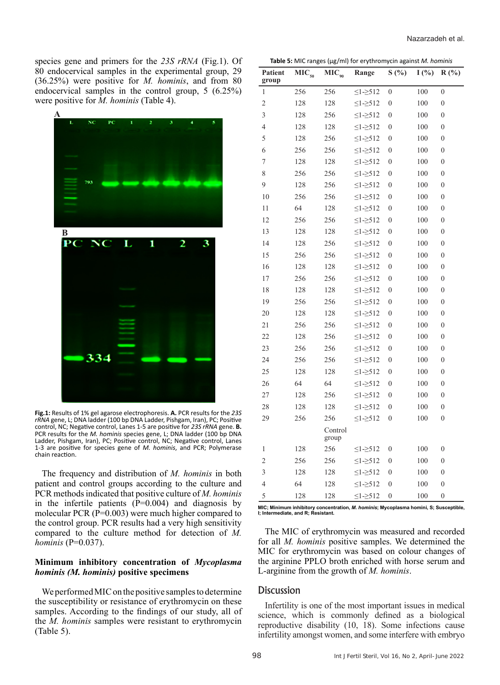species gene and primers for the *23S rRNA* (Fig.1). Of 80 endocervical samples in the experimental group, 29 (36.25%) were positive for *M. hominis*, and from 80 endocervical samples in the control group, 5 (6.25%) were positive for *M. hominis* (Table 4).



**Fig.1:** Results of 1% gel agarose electrophoresis. **A.** PCR results for the *23S rRNA* gene, L; DNA ladder (100 bp DNA Ladder, Pishgam, Iran), PC; Positive control, NC; Negative control, Lanes 1-5 are positive for *23S rRNA* gene. **B.** PCR results for the *M. hominis* species gene, L; DNA ladder (100 bp DNA Ladder, Pishgam, Iran), PC; Positive control, NC; Negative control, Lanes 1-3 are positive for species gene of *M. hominis*, and PCR; Polymerase chain reaction.

The frequency and distribution of *M. hominis* in both patient and control groups according to the culture and PCR methods indicated that positive culture of *M. hominis* in the infertile patients  $(P=0.004)$  and diagnosis by molecular PCR (P=0.003) were much higher compared to the control group. PCR results had a very high sensitivity compared to the culture method for detection of *M. hominis* (P=0.037).

#### **Minimum inhibitory concentration of** *Mycoplasma hominis (M. hominis)* **positive specimens**

We performed MIC on the positive samples to determine the susceptibility or resistance of erythromycin on these samples. According to the findings of our study, all of the *M. hominis* samples were resistant to erythromycin (Table 5).

**Table 5:** MIC ranges (µg/ml) for erythromycin against *M. hominis*

| 256<br>256<br>100<br>$\boldsymbol{0}$<br>$\leq1-2512$<br>$\overline{0}$<br>1<br>$\overline{c}$<br>100<br>128<br>128<br>$\leq1 - \geq 512$<br>$\overline{0}$<br>$\boldsymbol{0}$<br>3<br>128<br>256<br>$\leq1-512$<br>$\overline{0}$<br>100<br>$\boldsymbol{0}$<br>$\overline{\mathcal{L}}$<br>128<br>128<br>$\leq$ 1- $\geq$ 512<br>$\overline{0}$<br>100<br>$\boldsymbol{0}$<br>5<br>128<br>256<br>$\leq$ 1- $\geq$ 512<br>$\boldsymbol{0}$<br>100<br>$\boldsymbol{0}$<br>6<br>256<br>256<br>$\leq1-2512$<br>100<br>0<br>0<br>$\boldsymbol{7}$<br>128<br>128<br>$\leq1-512$<br>$\overline{0}$<br>100<br>$\mathbf{0}$<br>8<br>256<br>256<br>$\leq1-2512$<br>$\overline{0}$<br>100<br>$\boldsymbol{0}$<br>9<br>$\leq1 - \geq 512$<br>128<br>256<br>$\overline{0}$<br>100<br>$\boldsymbol{0}$<br>10<br>256<br>256<br>$\leq$ 1- $\geq$ 512<br>$\overline{0}$<br>100<br>$\boldsymbol{0}$<br>64<br>11<br>128<br>$\leq1 - \geq 512$<br>$\boldsymbol{0}$<br>100<br>$\boldsymbol{0}$<br>12<br>256<br>256<br>$\leq$ 1- $\geq$ 512<br>100<br>0<br>$\boldsymbol{0}$<br>13<br>128<br>128<br>$\leq$ 1- $\geq$ 512<br>$\boldsymbol{0}$<br>100<br>$\boldsymbol{0}$<br>14<br>128<br>256<br>$\leq$ 1- $\geq$ 512<br>$\theta$<br>100<br>0<br>15<br>256<br>256<br>$\leq1-512$<br>$\overline{0}$<br>100<br>$\mathbf{0}$<br>16<br>128<br>128<br>$\leq$ 1- $\geq$ 512<br>$\overline{0}$<br>100<br>$\theta$<br>17<br>256<br>256<br>$\leq$ 1- $\geq$ 512<br>100<br>0<br>0<br>18<br>128<br>128<br>$\leq1-2512$<br>100<br>0<br>$\boldsymbol{0}$<br>19<br>256<br>256<br>$\leq1-2512$<br>$\boldsymbol{0}$<br>100<br>$\boldsymbol{0}$<br>20<br>128<br>128<br>$\leq$ 1- $\geq$ 512<br>$\overline{0}$<br>100<br>$\boldsymbol{0}$<br>21<br>256<br>256<br>$\leq$ 1- $\geq$ 512<br>$\boldsymbol{0}$<br>100<br>$\boldsymbol{0}$<br>22<br>256<br>$\leq1-2512$<br>$\overline{0}$<br>100<br>$\boldsymbol{0}$<br>128<br>23<br>256<br>256<br>$\leq$ 1- $\geq$ 512<br>$\overline{0}$<br>100<br>$\mathbf{0}$<br>24<br>256<br>256<br>$\leq$ 1- $\geq$ 512<br>$\overline{0}$<br>100<br>$\boldsymbol{0}$<br>25<br>128<br>128<br>$\leq$ 1- $\geq$ 512<br>$\theta$<br>100<br>0<br>26<br>64<br>64<br>$\leq$ 1- $\geq$ 512<br>$\boldsymbol{0}$<br>100<br>$\mathbf{0}$<br>27<br>128<br>256<br>$\leq1-2512$<br>$\boldsymbol{0}$<br>100<br>$\boldsymbol{0}$<br>28<br>128<br>128<br>$\leq$ 1- $\geq$ 512<br>100<br>0<br>0<br>29<br>256<br>256<br>$\leq$ 1- $\geq$ 512<br>$\boldsymbol{0}$<br>100<br>$\boldsymbol{0}$<br>Control<br>group<br>100<br>$\overline{0}$<br>$\mathbf{1}$<br>128<br>256<br>$\overline{0}$<br>$\leq1-512$<br>$\overline{c}$<br>100<br>256<br>256<br>$\leq$ 1- $\geq$ 512<br>$\overline{0}$<br>$\mathbf{0}$<br>3<br>100<br>128<br>128<br>$\leq$ 1- $\geq$ 512<br>$\boldsymbol{0}$<br>$\boldsymbol{0}$<br>$\overline{4}$<br>64<br>100<br>128<br>$\leq$ 1- $\geq$ 512<br>$\boldsymbol{0}$<br>$\mathbf{0}$<br>5<br>100<br>128<br>128<br>$\leq$ 1- $\geq$ 512<br>$\overline{0}$<br>$\boldsymbol{0}$ | Patient<br>group | MIC <sub>50</sub> | $MIC_{90}$ | Range | S(%) | I(%) | $R(^{0}/_{0})$ |
|------------------------------------------------------------------------------------------------------------------------------------------------------------------------------------------------------------------------------------------------------------------------------------------------------------------------------------------------------------------------------------------------------------------------------------------------------------------------------------------------------------------------------------------------------------------------------------------------------------------------------------------------------------------------------------------------------------------------------------------------------------------------------------------------------------------------------------------------------------------------------------------------------------------------------------------------------------------------------------------------------------------------------------------------------------------------------------------------------------------------------------------------------------------------------------------------------------------------------------------------------------------------------------------------------------------------------------------------------------------------------------------------------------------------------------------------------------------------------------------------------------------------------------------------------------------------------------------------------------------------------------------------------------------------------------------------------------------------------------------------------------------------------------------------------------------------------------------------------------------------------------------------------------------------------------------------------------------------------------------------------------------------------------------------------------------------------------------------------------------------------------------------------------------------------------------------------------------------------------------------------------------------------------------------------------------------------------------------------------------------------------------------------------------------------------------------------------------------------------------------------------------------------------------------------------------------------------------------------------------------------------------------------------------------------------------------------------------------------------------------------------------------------------------------------------------------------------------------------------------------------------------------------------------------------------------------------------------|------------------|-------------------|------------|-------|------|------|----------------|
|                                                                                                                                                                                                                                                                                                                                                                                                                                                                                                                                                                                                                                                                                                                                                                                                                                                                                                                                                                                                                                                                                                                                                                                                                                                                                                                                                                                                                                                                                                                                                                                                                                                                                                                                                                                                                                                                                                                                                                                                                                                                                                                                                                                                                                                                                                                                                                                                                                                                                                                                                                                                                                                                                                                                                                                                                                                                                                                                                                  |                  |                   |            |       |      |      |                |
|                                                                                                                                                                                                                                                                                                                                                                                                                                                                                                                                                                                                                                                                                                                                                                                                                                                                                                                                                                                                                                                                                                                                                                                                                                                                                                                                                                                                                                                                                                                                                                                                                                                                                                                                                                                                                                                                                                                                                                                                                                                                                                                                                                                                                                                                                                                                                                                                                                                                                                                                                                                                                                                                                                                                                                                                                                                                                                                                                                  |                  |                   |            |       |      |      |                |
|                                                                                                                                                                                                                                                                                                                                                                                                                                                                                                                                                                                                                                                                                                                                                                                                                                                                                                                                                                                                                                                                                                                                                                                                                                                                                                                                                                                                                                                                                                                                                                                                                                                                                                                                                                                                                                                                                                                                                                                                                                                                                                                                                                                                                                                                                                                                                                                                                                                                                                                                                                                                                                                                                                                                                                                                                                                                                                                                                                  |                  |                   |            |       |      |      |                |
|                                                                                                                                                                                                                                                                                                                                                                                                                                                                                                                                                                                                                                                                                                                                                                                                                                                                                                                                                                                                                                                                                                                                                                                                                                                                                                                                                                                                                                                                                                                                                                                                                                                                                                                                                                                                                                                                                                                                                                                                                                                                                                                                                                                                                                                                                                                                                                                                                                                                                                                                                                                                                                                                                                                                                                                                                                                                                                                                                                  |                  |                   |            |       |      |      |                |
|                                                                                                                                                                                                                                                                                                                                                                                                                                                                                                                                                                                                                                                                                                                                                                                                                                                                                                                                                                                                                                                                                                                                                                                                                                                                                                                                                                                                                                                                                                                                                                                                                                                                                                                                                                                                                                                                                                                                                                                                                                                                                                                                                                                                                                                                                                                                                                                                                                                                                                                                                                                                                                                                                                                                                                                                                                                                                                                                                                  |                  |                   |            |       |      |      |                |
|                                                                                                                                                                                                                                                                                                                                                                                                                                                                                                                                                                                                                                                                                                                                                                                                                                                                                                                                                                                                                                                                                                                                                                                                                                                                                                                                                                                                                                                                                                                                                                                                                                                                                                                                                                                                                                                                                                                                                                                                                                                                                                                                                                                                                                                                                                                                                                                                                                                                                                                                                                                                                                                                                                                                                                                                                                                                                                                                                                  |                  |                   |            |       |      |      |                |
|                                                                                                                                                                                                                                                                                                                                                                                                                                                                                                                                                                                                                                                                                                                                                                                                                                                                                                                                                                                                                                                                                                                                                                                                                                                                                                                                                                                                                                                                                                                                                                                                                                                                                                                                                                                                                                                                                                                                                                                                                                                                                                                                                                                                                                                                                                                                                                                                                                                                                                                                                                                                                                                                                                                                                                                                                                                                                                                                                                  |                  |                   |            |       |      |      |                |
|                                                                                                                                                                                                                                                                                                                                                                                                                                                                                                                                                                                                                                                                                                                                                                                                                                                                                                                                                                                                                                                                                                                                                                                                                                                                                                                                                                                                                                                                                                                                                                                                                                                                                                                                                                                                                                                                                                                                                                                                                                                                                                                                                                                                                                                                                                                                                                                                                                                                                                                                                                                                                                                                                                                                                                                                                                                                                                                                                                  |                  |                   |            |       |      |      |                |
|                                                                                                                                                                                                                                                                                                                                                                                                                                                                                                                                                                                                                                                                                                                                                                                                                                                                                                                                                                                                                                                                                                                                                                                                                                                                                                                                                                                                                                                                                                                                                                                                                                                                                                                                                                                                                                                                                                                                                                                                                                                                                                                                                                                                                                                                                                                                                                                                                                                                                                                                                                                                                                                                                                                                                                                                                                                                                                                                                                  |                  |                   |            |       |      |      |                |
|                                                                                                                                                                                                                                                                                                                                                                                                                                                                                                                                                                                                                                                                                                                                                                                                                                                                                                                                                                                                                                                                                                                                                                                                                                                                                                                                                                                                                                                                                                                                                                                                                                                                                                                                                                                                                                                                                                                                                                                                                                                                                                                                                                                                                                                                                                                                                                                                                                                                                                                                                                                                                                                                                                                                                                                                                                                                                                                                                                  |                  |                   |            |       |      |      |                |
|                                                                                                                                                                                                                                                                                                                                                                                                                                                                                                                                                                                                                                                                                                                                                                                                                                                                                                                                                                                                                                                                                                                                                                                                                                                                                                                                                                                                                                                                                                                                                                                                                                                                                                                                                                                                                                                                                                                                                                                                                                                                                                                                                                                                                                                                                                                                                                                                                                                                                                                                                                                                                                                                                                                                                                                                                                                                                                                                                                  |                  |                   |            |       |      |      |                |
|                                                                                                                                                                                                                                                                                                                                                                                                                                                                                                                                                                                                                                                                                                                                                                                                                                                                                                                                                                                                                                                                                                                                                                                                                                                                                                                                                                                                                                                                                                                                                                                                                                                                                                                                                                                                                                                                                                                                                                                                                                                                                                                                                                                                                                                                                                                                                                                                                                                                                                                                                                                                                                                                                                                                                                                                                                                                                                                                                                  |                  |                   |            |       |      |      |                |
|                                                                                                                                                                                                                                                                                                                                                                                                                                                                                                                                                                                                                                                                                                                                                                                                                                                                                                                                                                                                                                                                                                                                                                                                                                                                                                                                                                                                                                                                                                                                                                                                                                                                                                                                                                                                                                                                                                                                                                                                                                                                                                                                                                                                                                                                                                                                                                                                                                                                                                                                                                                                                                                                                                                                                                                                                                                                                                                                                                  |                  |                   |            |       |      |      |                |
|                                                                                                                                                                                                                                                                                                                                                                                                                                                                                                                                                                                                                                                                                                                                                                                                                                                                                                                                                                                                                                                                                                                                                                                                                                                                                                                                                                                                                                                                                                                                                                                                                                                                                                                                                                                                                                                                                                                                                                                                                                                                                                                                                                                                                                                                                                                                                                                                                                                                                                                                                                                                                                                                                                                                                                                                                                                                                                                                                                  |                  |                   |            |       |      |      |                |
|                                                                                                                                                                                                                                                                                                                                                                                                                                                                                                                                                                                                                                                                                                                                                                                                                                                                                                                                                                                                                                                                                                                                                                                                                                                                                                                                                                                                                                                                                                                                                                                                                                                                                                                                                                                                                                                                                                                                                                                                                                                                                                                                                                                                                                                                                                                                                                                                                                                                                                                                                                                                                                                                                                                                                                                                                                                                                                                                                                  |                  |                   |            |       |      |      |                |
|                                                                                                                                                                                                                                                                                                                                                                                                                                                                                                                                                                                                                                                                                                                                                                                                                                                                                                                                                                                                                                                                                                                                                                                                                                                                                                                                                                                                                                                                                                                                                                                                                                                                                                                                                                                                                                                                                                                                                                                                                                                                                                                                                                                                                                                                                                                                                                                                                                                                                                                                                                                                                                                                                                                                                                                                                                                                                                                                                                  |                  |                   |            |       |      |      |                |
|                                                                                                                                                                                                                                                                                                                                                                                                                                                                                                                                                                                                                                                                                                                                                                                                                                                                                                                                                                                                                                                                                                                                                                                                                                                                                                                                                                                                                                                                                                                                                                                                                                                                                                                                                                                                                                                                                                                                                                                                                                                                                                                                                                                                                                                                                                                                                                                                                                                                                                                                                                                                                                                                                                                                                                                                                                                                                                                                                                  |                  |                   |            |       |      |      |                |
|                                                                                                                                                                                                                                                                                                                                                                                                                                                                                                                                                                                                                                                                                                                                                                                                                                                                                                                                                                                                                                                                                                                                                                                                                                                                                                                                                                                                                                                                                                                                                                                                                                                                                                                                                                                                                                                                                                                                                                                                                                                                                                                                                                                                                                                                                                                                                                                                                                                                                                                                                                                                                                                                                                                                                                                                                                                                                                                                                                  |                  |                   |            |       |      |      |                |
|                                                                                                                                                                                                                                                                                                                                                                                                                                                                                                                                                                                                                                                                                                                                                                                                                                                                                                                                                                                                                                                                                                                                                                                                                                                                                                                                                                                                                                                                                                                                                                                                                                                                                                                                                                                                                                                                                                                                                                                                                                                                                                                                                                                                                                                                                                                                                                                                                                                                                                                                                                                                                                                                                                                                                                                                                                                                                                                                                                  |                  |                   |            |       |      |      |                |
|                                                                                                                                                                                                                                                                                                                                                                                                                                                                                                                                                                                                                                                                                                                                                                                                                                                                                                                                                                                                                                                                                                                                                                                                                                                                                                                                                                                                                                                                                                                                                                                                                                                                                                                                                                                                                                                                                                                                                                                                                                                                                                                                                                                                                                                                                                                                                                                                                                                                                                                                                                                                                                                                                                                                                                                                                                                                                                                                                                  |                  |                   |            |       |      |      |                |
|                                                                                                                                                                                                                                                                                                                                                                                                                                                                                                                                                                                                                                                                                                                                                                                                                                                                                                                                                                                                                                                                                                                                                                                                                                                                                                                                                                                                                                                                                                                                                                                                                                                                                                                                                                                                                                                                                                                                                                                                                                                                                                                                                                                                                                                                                                                                                                                                                                                                                                                                                                                                                                                                                                                                                                                                                                                                                                                                                                  |                  |                   |            |       |      |      |                |
|                                                                                                                                                                                                                                                                                                                                                                                                                                                                                                                                                                                                                                                                                                                                                                                                                                                                                                                                                                                                                                                                                                                                                                                                                                                                                                                                                                                                                                                                                                                                                                                                                                                                                                                                                                                                                                                                                                                                                                                                                                                                                                                                                                                                                                                                                                                                                                                                                                                                                                                                                                                                                                                                                                                                                                                                                                                                                                                                                                  |                  |                   |            |       |      |      |                |
|                                                                                                                                                                                                                                                                                                                                                                                                                                                                                                                                                                                                                                                                                                                                                                                                                                                                                                                                                                                                                                                                                                                                                                                                                                                                                                                                                                                                                                                                                                                                                                                                                                                                                                                                                                                                                                                                                                                                                                                                                                                                                                                                                                                                                                                                                                                                                                                                                                                                                                                                                                                                                                                                                                                                                                                                                                                                                                                                                                  |                  |                   |            |       |      |      |                |
|                                                                                                                                                                                                                                                                                                                                                                                                                                                                                                                                                                                                                                                                                                                                                                                                                                                                                                                                                                                                                                                                                                                                                                                                                                                                                                                                                                                                                                                                                                                                                                                                                                                                                                                                                                                                                                                                                                                                                                                                                                                                                                                                                                                                                                                                                                                                                                                                                                                                                                                                                                                                                                                                                                                                                                                                                                                                                                                                                                  |                  |                   |            |       |      |      |                |
|                                                                                                                                                                                                                                                                                                                                                                                                                                                                                                                                                                                                                                                                                                                                                                                                                                                                                                                                                                                                                                                                                                                                                                                                                                                                                                                                                                                                                                                                                                                                                                                                                                                                                                                                                                                                                                                                                                                                                                                                                                                                                                                                                                                                                                                                                                                                                                                                                                                                                                                                                                                                                                                                                                                                                                                                                                                                                                                                                                  |                  |                   |            |       |      |      |                |
|                                                                                                                                                                                                                                                                                                                                                                                                                                                                                                                                                                                                                                                                                                                                                                                                                                                                                                                                                                                                                                                                                                                                                                                                                                                                                                                                                                                                                                                                                                                                                                                                                                                                                                                                                                                                                                                                                                                                                                                                                                                                                                                                                                                                                                                                                                                                                                                                                                                                                                                                                                                                                                                                                                                                                                                                                                                                                                                                                                  |                  |                   |            |       |      |      |                |
|                                                                                                                                                                                                                                                                                                                                                                                                                                                                                                                                                                                                                                                                                                                                                                                                                                                                                                                                                                                                                                                                                                                                                                                                                                                                                                                                                                                                                                                                                                                                                                                                                                                                                                                                                                                                                                                                                                                                                                                                                                                                                                                                                                                                                                                                                                                                                                                                                                                                                                                                                                                                                                                                                                                                                                                                                                                                                                                                                                  |                  |                   |            |       |      |      |                |
|                                                                                                                                                                                                                                                                                                                                                                                                                                                                                                                                                                                                                                                                                                                                                                                                                                                                                                                                                                                                                                                                                                                                                                                                                                                                                                                                                                                                                                                                                                                                                                                                                                                                                                                                                                                                                                                                                                                                                                                                                                                                                                                                                                                                                                                                                                                                                                                                                                                                                                                                                                                                                                                                                                                                                                                                                                                                                                                                                                  |                  |                   |            |       |      |      |                |
|                                                                                                                                                                                                                                                                                                                                                                                                                                                                                                                                                                                                                                                                                                                                                                                                                                                                                                                                                                                                                                                                                                                                                                                                                                                                                                                                                                                                                                                                                                                                                                                                                                                                                                                                                                                                                                                                                                                                                                                                                                                                                                                                                                                                                                                                                                                                                                                                                                                                                                                                                                                                                                                                                                                                                                                                                                                                                                                                                                  |                  |                   |            |       |      |      |                |
|                                                                                                                                                                                                                                                                                                                                                                                                                                                                                                                                                                                                                                                                                                                                                                                                                                                                                                                                                                                                                                                                                                                                                                                                                                                                                                                                                                                                                                                                                                                                                                                                                                                                                                                                                                                                                                                                                                                                                                                                                                                                                                                                                                                                                                                                                                                                                                                                                                                                                                                                                                                                                                                                                                                                                                                                                                                                                                                                                                  |                  |                   |            |       |      |      |                |
|                                                                                                                                                                                                                                                                                                                                                                                                                                                                                                                                                                                                                                                                                                                                                                                                                                                                                                                                                                                                                                                                                                                                                                                                                                                                                                                                                                                                                                                                                                                                                                                                                                                                                                                                                                                                                                                                                                                                                                                                                                                                                                                                                                                                                                                                                                                                                                                                                                                                                                                                                                                                                                                                                                                                                                                                                                                                                                                                                                  |                  |                   |            |       |      |      |                |
|                                                                                                                                                                                                                                                                                                                                                                                                                                                                                                                                                                                                                                                                                                                                                                                                                                                                                                                                                                                                                                                                                                                                                                                                                                                                                                                                                                                                                                                                                                                                                                                                                                                                                                                                                                                                                                                                                                                                                                                                                                                                                                                                                                                                                                                                                                                                                                                                                                                                                                                                                                                                                                                                                                                                                                                                                                                                                                                                                                  |                  |                   |            |       |      |      |                |
|                                                                                                                                                                                                                                                                                                                                                                                                                                                                                                                                                                                                                                                                                                                                                                                                                                                                                                                                                                                                                                                                                                                                                                                                                                                                                                                                                                                                                                                                                                                                                                                                                                                                                                                                                                                                                                                                                                                                                                                                                                                                                                                                                                                                                                                                                                                                                                                                                                                                                                                                                                                                                                                                                                                                                                                                                                                                                                                                                                  |                  |                   |            |       |      |      |                |
|                                                                                                                                                                                                                                                                                                                                                                                                                                                                                                                                                                                                                                                                                                                                                                                                                                                                                                                                                                                                                                                                                                                                                                                                                                                                                                                                                                                                                                                                                                                                                                                                                                                                                                                                                                                                                                                                                                                                                                                                                                                                                                                                                                                                                                                                                                                                                                                                                                                                                                                                                                                                                                                                                                                                                                                                                                                                                                                                                                  |                  |                   |            |       |      |      |                |
|                                                                                                                                                                                                                                                                                                                                                                                                                                                                                                                                                                                                                                                                                                                                                                                                                                                                                                                                                                                                                                                                                                                                                                                                                                                                                                                                                                                                                                                                                                                                                                                                                                                                                                                                                                                                                                                                                                                                                                                                                                                                                                                                                                                                                                                                                                                                                                                                                                                                                                                                                                                                                                                                                                                                                                                                                                                                                                                                                                  |                  |                   |            |       |      |      |                |

**MIC; Minimum inhibitory concentration,** *M. hominis***; Mycoplasma homini, S; Susceptible, I; Intermediate, and R; Resistant.**

The MIC of erythromycin was measured and recorded for all *M. hominis* positive samples. We determined the MIC for erythromycin was based on colour changes of the arginine PPLO broth enriched with horse serum and L-arginine from the growth of *M. hominis*.

# **Discussion**

Infertility is one of the most important issues in medical science, which is commonly defined as a biological reproductive disability (10, 18). Some infections cause infertility amongst women, and some interfere with embryo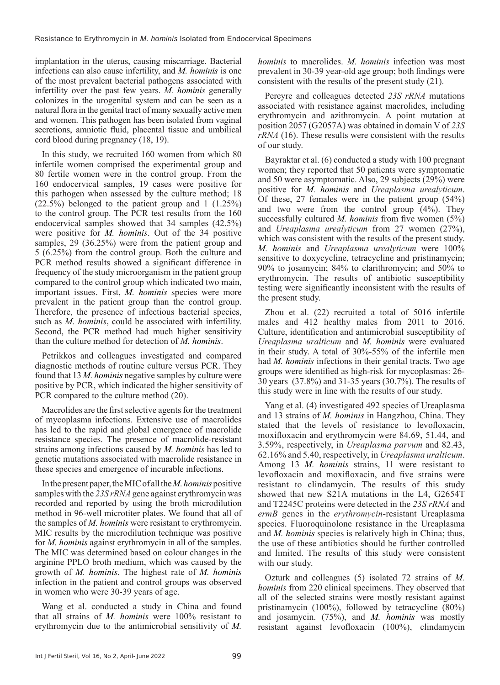implantation in the uterus, causing miscarriage. Bacterial infections can also cause infertility, and *M. hominis* is one of the most prevalent bacterial pathogens associated with infertility over the past few years. *M. hominis* generally colonizes in the urogenital system and can be seen as a natural flora in the genital tract of many sexually active men and women. This pathogen has been isolated from vaginal secretions, amniotic fluid, placental tissue and umbilical cord blood during pregnancy (18, 19).

In this study, we recruited 160 women from which 80 infertile women comprised the experimental group and 80 fertile women were in the control group. From the 160 endocervical samples, 19 cases were positive for this pathogen when assessed by the culture method; 18 (22.5%) belonged to the patient group and 1 (1.25%) to the control group. The PCR test results from the 160 endocervical samples showed that 34 samples (42.5%) were positive for *M. hominis*. Out of the 34 positive samples, 29 (36.25%) were from the patient group and 5 (6.25%) from the control group. Both the culture and PCR method results showed a significant difference in frequency of the study microorganism in the patient group compared to the control group which indicated two main, important issues. First, *M. hominis* species were more prevalent in the patient group than the control group. Therefore, the presence of infectious bacterial species, such as *M. hominis*, could be associated with infertility. Second, the PCR method had much higher sensitivity than the culture method for detection of *M. hominis*.

Petrikkos and colleagues investigated and compared diagnostic methods of routine culture versus PCR. They found that 13 *M. hominis* negative samples by culture were positive by PCR, which indicated the higher sensitivity of PCR compared to the culture method (20).

Macrolides are the first selective agents for the treatment of mycoplasma infections. Extensive use of macrolides has led to the rapid and global emergence of macrolide resistance species. The presence of macrolide-resistant strains among infections caused by *M. hominis* has led to genetic mutations associated with macrolide resistance in these species and emergence of incurable infections.

In the present paper, the MIC of all the *M. hominis* positive samples with the *23S rRNA* gene against erythromycin was recorded and reported by using the broth microdilution method in 96-well microtiter plates. We found that all of the samples of *M. hominis* were resistant to erythromycin. MIC results by the microdilution technique was positive for *M. hominis* against erythromycin in all of the samples. The MIC was determined based on colour changes in the arginine PPLO broth medium, which was caused by the growth of *M. hominis*. The highest rate of *M. hominis* infection in the patient and control groups was observed in women who were 30-39 years of age.

Wang et al. conducted a study in China and found that all strains of *M. hominis* were 100% resistant to erythromycin due to the antimicrobial sensitivity of *M.* 

*hominis* to macrolides. *M. hominis* infection was most prevalent in 30-39 year-old age group; both findings were consistent with the results of the present study (21).

Pereyre and colleagues detected *23S rRNA* mutations associated with resistance against macrolides, including erythromycin and azithromycin. A point mutation at position 2057 (G2057A) was obtained in domain V of *23S rRNA* (16). These results were consistent with the results of our study.

Bayraktar et al. (6) conducted a study with 100 pregnant women; they reported that 50 patients were symptomatic and 50 were asymptomatic. Also, 29 subjects (29%) were positive for *M. hominis* and *Ureaplasma urealyticum*. Of these, 27 females were in the patient group (54%) and two were from the control group (4%). They successfully cultured *M. hominis* from five women (5%) and *Ureaplasma urealyticum* from 27 women (27%), which was consistent with the results of the present study. *M. hominis* and *Ureaplasma urealyticum* were 100% sensitive to doxycycline, tetracycline and pristinamycin; 90% to josamycin; 84% to clarithromycin; and 50% to erythromycin. The results of antibiotic susceptibility testing were significantly inconsistent with the results of the present study.

Zhou et al. (22) recruited a total of 5016 infertile males and 412 healthy males from 2011 to 2016. Culture, identification and antimicrobial susceptibility of *Ureaplasma uralticum* and *M. hominis* were evaluated in their study. A total of 30%-55% of the infertile men had *M. hominis* infections in their genital tracts. Two age groups were identified as high-risk for mycoplasmas: 26- 30 years (37.8%) and 31-35 years (30.7%). The results of this study were in line with the results of our study.

Yang et al. (4) investigated 492 species of Ureaplasma and 13 strains of *M. hominis* in Hangzhou, China. They stated that the levels of resistance to levofloxacin, moxifloxacin and erythromycin were 84.69, 51.44, and 3.59%, respectively, in *Ureaplasma parvum* and 82.43, 62.16% and 5.40, respectively, in *Ureaplasma uralticum*. Among 13 *M. hominis* strains, 11 were resistant to levofloxacin and moxifloxacin, and five strains were resistant to clindamycin. The results of this study showed that new S21A mutations in the L4, G2654T and T2245C proteins were detected in the *23S rRNA* and *ermB* genes in the *erythromycin*-resistant Ureaplasma species. Fluoroquinolone resistance in the Ureaplasma and *M. hominis* species is relatively high in China; thus, the use of these antibiotics should be further controlled and limited. The results of this study were consistent with our study.

Ozturk and colleagues (5) isolated 72 strains of *M. hominis* from 220 clinical specimens. They observed that all of the selected strains were mostly resistant against pristinamycin (100%), followed by tetracycline (80%) and josamycin. (75%), and *M. hominis* was mostly resistant against levofloxacin (100%), clindamycin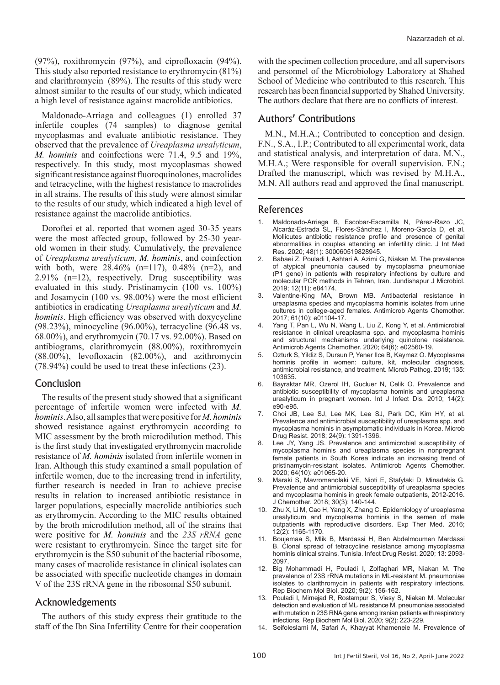(97%), roxithromycin (97%), and ciprofloxacin (94%). This study also reported resistance to erythromycin (81%) and clarithromycin (89%). The results of this study were almost similar to the results of our study, which indicated a high level of resistance against macrolide antibiotics.

Maldonado-Arriaga and colleagues (1) enrolled 37 infertile couples (74 samples) to diagnose genital mycoplasmas and evaluate antibiotic resistance. They observed that the prevalence of *Ureaplasma urealyticum*, *M. hominis* and coinfections were 71.4, 9.5 and 19%, respectively. In this study, most mycoplasmas showed significant resistance against fluoroquinolones, macrolides and tetracycline, with the highest resistance to macrolides in all strains. The results of this study were almost similar to the results of our study, which indicated a high level of resistance against the macrolide antibiotics.

Doroftei et al. reported that women aged 30-35 years were the most affected group, followed by 25-30 yearold women in their study. Cumulatively, the prevalence of *Ureaplasma urealyticum, M. hominis*, and coinfection with both, were  $28.46\%$  (n=117), 0.48% (n=2), and 2.91% (n=12), respectively. Drug susceptibility was evaluated in this study. Pristinamycin (100 vs. 100%) and Josamycin (100 vs. 98.00%) were the most efficient antibiotics in eradicating *Ureaplasma urealyticum* and *M. hominis*. High efficiency was observed with doxycycline (98.23%), minocycline (96.00%), tetracycline (96.48 vs. 68.00%), and erythromycin (70.17 vs. 92.00%). Based on antibiograms, clarithromycin (88.00%), roxithromycin (88.00%), levofloxacin (82.00%), and azithromycin (78.94%) could be used to treat these infections (23).

## Conclusion

The results of the present study showed that a significant percentage of infertile women were infected with *M. hominis*. Also, all samples that were positive for *M. hominis* showed resistance against erythromycin according to MIC assessment by the broth microdilution method. This is the first study that investigated erythromycin macrolide resistance of *M. hominis* isolated from infertile women in Iran. Although this study examined a small population of infertile women, due to the increasing trend in infertility, further research is needed in Iran to achieve precise results in relation to increased antibiotic resistance in larger populations, especially macrolide antibiotics such as erythromycin. According to the MIC results obtained by the broth microdilution method, all of the strains that were positive for *M. hominis* and the *23S rRNA* gene were resistant to erythromycin. Since the target site for erythromycin is the S50 subunit of the bacterial ribosome, many cases of macrolide resistance in clinical isolates can be associated with specific nucleotide changes in domain V of the 23S rRNA gene in the ribosomal S50 subunit.

## Acknowledgements

The authors of this study express their gratitude to the staff of the Ibn Sina Infertility Centre for their cooperation

with the specimen collection procedure, and all supervisors and personnel of the Microbiology Laboratory at Shahed School of Medicine who contributed to this research. This research has been financial supported by Shahed University. The authors declare that there are no conflicts of interest.

# Authors' Contributions

M.N., M.H.A.; Contributed to conception and design. F.N., S.A., I.P.; Contributed to all experimental work, data and statistical analysis, and interpretation of data. M.N., M.H.A.; Were responsible for overall supervision. F.N.; Drafted the manuscript, which was revised by M.H.A., M.N. All authors read and approved the final manuscript.

#### References

- 1. Maldonado-Arriaga B, Escobar-Escamilla N, Pérez-Razo JC, Alcaráz-Estrada SL, Flores-Sánchez I, Moreno-García D, et al. Mollicutes antibiotic resistance profile and presence of genital abnormalities in couples attending an infertility clinic. J Int Med Res. 2020; 48(1): 300060519828945.
- 2. Babaei Z, Pouladi I, Ashtari A, Azimi G, Niakan M. The prevalence of atypical pneumonia caused by mycoplasma pneumoniae (P1 gene) in patients with respiratory infections by culture and molecular PCR methods in Tehran, Iran. Jundishapur J Microbiol. 2019; 12(11): e84174.
- 3. Valentine-King MA, Brown MB. Antibacterial resistance in ureaplasma species and mycoplasma hominis isolates from urine cultures in college-aged females. Antimicrob Agents Chemother. 2017; 61(10): e01104-17.
- Yang T, Pan L, Wu N, Wang L, Liu Z, Kong Y, et al. Antimicrobial resistance in clinical ureaplasma spp. and mycoplasma hominis and structural mechanisms underlying quinolone resistance. Antimicrob Agents Chemother. 2020; 64(6): e02560-19.
- 5. Ozturk S, Yildiz S, Dursun P, Yener Ilce B, Kaymaz O. Mycoplasma hominis profile in women: culture, kit, molecular diagnosis, antimicrobial resistance, and treatment. Microb Pathog. 2019; 135: 103635.
- 6. Bayraktar MR, Ozerol IH, Gucluer N, Celik O. Prevalence and antibiotic susceptibility of mycoplasma hominis and ureaplasma urealyticum in pregnant women. Int J Infect Dis. 2010; 14(2): e90-e95.
- 7. Choi JB, Lee SJ, Lee MK, Lee SJ, Park DC, Kim HY, et al. Prevalence and antimicrobial susceptibility of ureaplasma spp. and mycoplasma hominis in asymptomatic individuals in Korea. Microb Drug Resist. 2018; 24(9): 1391-1396.
- 8. Lee JY, Yang JS. Prevalence and antimicrobial susceptibility of mycoplasma hominis and ureaplasma species in nonpregnant female patients in South Korea indicate an increasing trend of pristinamycin-resistant isolates. Antimicrob Agents Chemother. 2020; 64(10): e01065-20.
- 9. Maraki S, Mavromanolaki VE, Nioti E, Stafylaki D, Minadakis G. Prevalence and antimicrobial susceptibility of ureaplasma species and mycoplasma hominis in greek female outpatients, 2012-2016. J Chemother. 2018; 30(3): 140-144.
- 10. Zhu X, Li M, Cao H, Yang X, Zhang C. Epidemiology of ureaplasma urealyticum and mycoplasma hominis in the semen of male outpatients with reproductive disorders. Exp Ther Med. 2016; 12(2): 1165-1170.
- 11. Boujemaa S, Mlik B, Mardassi H, Ben Abdelmoumen Mardassi B. Clonal spread of tetracycline resistance among mycoplasma hominis clinical strains, Tunisia. Infect Drug Resist. 2020; 13: 2093- 2097.
- 12. Big Mohammadi H, Pouladi I, Zolfaghari MR, Niakan M. The prevalence of 23S rRNA mutations in ML-resistant M. pneumoniae isolates to clarithromycin in patients with respiratory infections. Rep Biochem Mol Biol. 2020; 9(2): 156-162.
- 13. Pouladi I, Mirnejad R, Rostampur S, Viesy S, Niakan M. Molecular detection and evaluation of MLـ resistance M. pneumoniae associated with mutation in 23S RNA gene among Iranian patients with respiratory infections. Rep Biochem Mol Biol. 2020; 9(2): 223-229.
- 14. Seifoleslami M, Safari A, Khayyat Khameneie M. Prevalence of